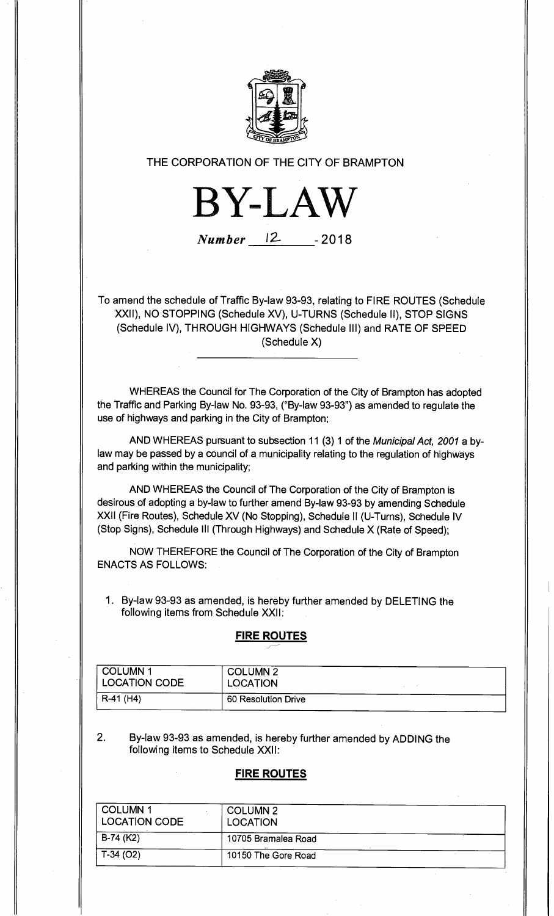

#### **THE CORPORATION OF THE CITY OF BRAMPTON**

**BY-LAW** 

# **Number** 12 **- 2018**

To amend the schedule of Traffic By-law 93-93, relating to FIRE ROUTES (Schedule XXII), NO STOPPING (Schedule XV), U-TURNS (Schedule II), STOP SIGNS (Schedule IV), THROUGH HIGHWAYS (Schedule 111) and RATE OF SPEED (Schedule X)

WHEREAS the Council for The Corporation of the City of Brampton has adopted the Traffic and Parking By-law No. 93-93, ("By-law 93-93") as amended to regulate the use of highways and parking in the City of Brampton;

AND WHEREAS pursuant to subsection 11 (3) 1 of the Municipal Act, 2001 a bylaw may be passed by a council of a municipality relating to the regulation of highways and parking within the municipality;

AND WHEREAS the Council of The Corporation of the City of Brampton is desirous of adopting a by-law to further amend By-law 93-93 by amending Schedule XXII (Fire Routes), Schedule XV (No Stopping), Schedule II (U-Turns), Schedule IV (Stop Signs), Schedule III (Through Highways) and Schedule X (Rate of Speed);

NOW THEREFORE the Council of The Corporation of the City of Brampton ENACTS AS FOLLOWS:

1. By-law 93-93 as amended, is hereby further amended by DELETING the following items from Schedule XXII:

#### **FIRE ROUTES**

| COLUMN 1<br><b>LOCATION CODE</b> | <b>COLUMN 2</b><br>LOCATION |  |
|----------------------------------|-----------------------------|--|
| $R-41$ (H4)                      | 60 Resolution Drive         |  |

2. By-law 93-93 as amended, is hereby further amended by ADDING the following items to Schedule XXII:

#### **FIRE ROUTES**

| <b>COLUMN 1</b><br><b>LOCATION CODE</b> | <b>COLUMN 2</b><br><b>LOCATION</b> |  |
|-----------------------------------------|------------------------------------|--|
| B-74 (K2)                               | 10705 Bramalea Road                |  |
| $T-34(02)$                              | 10150 The Gore Road                |  |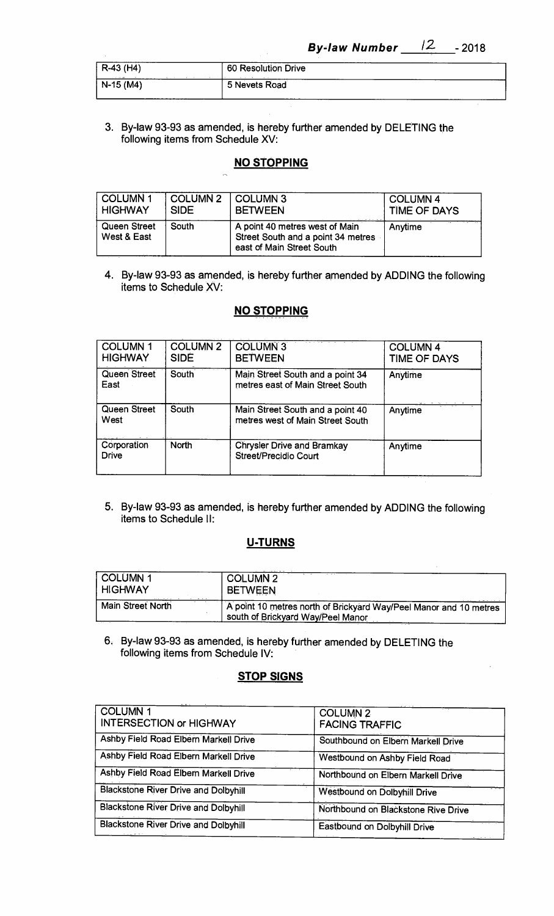| $R-43$ (H4)                     | 60 Resolution Drive |  |
|---------------------------------|---------------------|--|
| <b>CONTRACTOR</b><br>$N-15(M4)$ | 5 Nevets Road       |  |

**3. By-law 93-93 as amended, is hereby further amended by DELETING the following items from Schedule XV:** 

### **NO STOPPING**

| <b>COLUMN1</b>                     | <b>COLUMN 2</b> | <b>COLUMN 3</b>                                                                                   | <b>COLUMN 4</b> |
|------------------------------------|-----------------|---------------------------------------------------------------------------------------------------|-----------------|
| <b>HIGHWAY</b>                     | <b>SIDE</b>     | <b>BETWEEN</b>                                                                                    | TIME OF DAYS    |
| <b>Queen Street</b><br>West & East | South           | A point 40 metres west of Main<br>Street South and a point 34 metres<br>east of Main Street South | Anytime         |

**4. By-law 93-93 as amended, is hereby further amended by ADDING the following items to Schedule XV:** 

### **NO STOPPING**

| <b>COLUMN1</b><br><b>HIGHWAY</b> | <b>COLUMN 2</b><br><b>SIDE</b> | <b>COLUMN 3</b><br><b>BETWEEN</b>                                    | <b>COLUMN 4</b><br>TIME OF DAYS |
|----------------------------------|--------------------------------|----------------------------------------------------------------------|---------------------------------|
| Queen Street<br>East             | South                          | Main Street South and a point 34<br>metres east of Main Street South | Anytime                         |
| <b>Queen Street</b><br>West      | South                          | Main Street South and a point 40<br>metres west of Main Street South | Anytime                         |
| Corporation<br><b>Drive</b>      | North                          | <b>Chrysler Drive and Bramkay</b><br>Street/Precidio Court           | Anytime                         |

**5. By-law 93-93 as amended, is hereby further amended by ADDING the following items to Schedule II:** 

## **U-TURNS**

| COLUMN <sub>1</sub>      | <b>COLUMN 2</b>                                                                                        |
|--------------------------|--------------------------------------------------------------------------------------------------------|
| <b>HIGHWAY</b>           | <b>BETWEEN</b>                                                                                         |
| <b>Main Street North</b> | A point 10 metres north of Brickyard Way/Peel Manor and 10 metres<br>south of Brickyard Way/Peel Manor |

**6. By-law 93-93 as amended, is hereby further amended by DELETING the following items from Schedule IV:** 

# **STOP SIGNS**

| <b>COLUMN1</b><br><b>INTERSECTION or HIGHWAY</b> | <b>COLUMN 2</b><br><b>FACING TRAFFIC</b> |
|--------------------------------------------------|------------------------------------------|
| Ashby Field Road Elbern Markell Drive            | Southbound on Elbern Markell Drive       |
| Ashby Field Road Elbern Markell Drive            | Westbound on Ashby Field Road            |
| Ashby Field Road Elbern Markell Drive            | Northbound on Elbern Markell Drive       |
| <b>Blackstone River Drive and Dolbyhill</b>      | <b>Westbound on Dolbyhill Drive</b>      |
| <b>Blackstone River Drive and Dolbyhill</b>      | Northbound on Blackstone Rive Drive      |
| <b>Blackstone River Drive and Dolbyhill</b>      | Eastbound on Dolbyhill Drive             |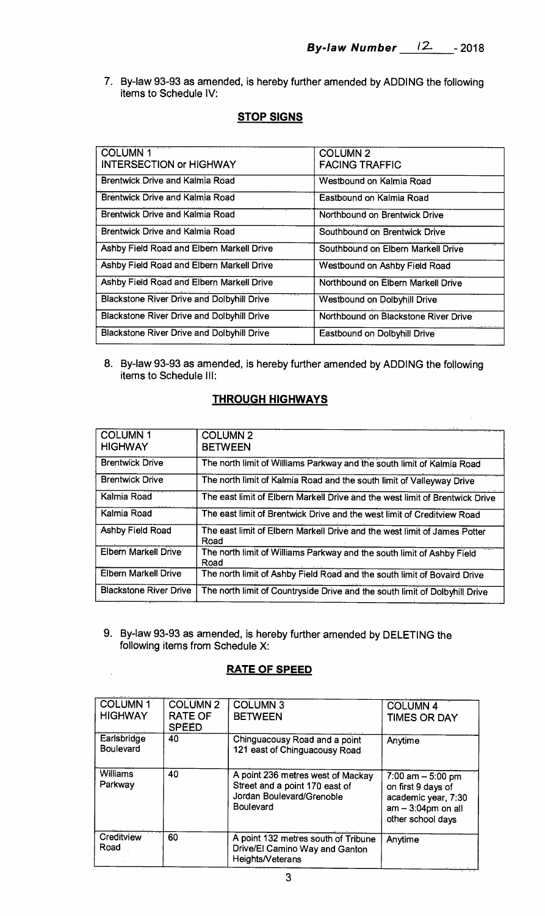**7. By-law 93-93 as amended, is hereby further amended by ADDING the following items to Schedule IV:** 

### **STOP SIGNS**

| <b>COLUMN 1</b><br><b>INTERSECTION or HIGHWAY</b> | <b>COLUMN 2</b><br><b>FACING TRAFFIC</b> |
|---------------------------------------------------|------------------------------------------|
| <b>Brentwick Drive and Kalmia Road</b>            | Westbound on Kalmia Road                 |
| <b>Brentwick Drive and Kalmia Road</b>            | Eastbound on Kalmia Road                 |
| <b>Brentwick Drive and Kalmia Road</b>            | Northbound on Brentwick Drive            |
| Brentwick Drive and Kalmia Road                   | Southbound on Brentwick Drive            |
| Ashby Field Road and Elbern Markell Drive         | Southbound on Elbern Markell Drive       |
| Ashby Field Road and Elbern Markell Drive         | Westbound on Ashby Field Road            |
| Ashby Field Road and Elbern Markell Drive         | Northbound on Elbern Markell Drive       |
| <b>Blackstone River Drive and Dolbyhill Drive</b> | <b>Westbound on Dolbyhill Drive</b>      |
| <b>Blackstone River Drive and Dolbyhill Drive</b> | Northbound on Blackstone River Drive     |
| <b>Blackstone River Drive and Dolbyhill Drive</b> | Eastbound on Dolbyhill Drive             |

**8. By-law 93-93 as amended, is hereby further amended by ADDING the following items to Schedule III:** 

# **THROUGH HIGHWAYS**

| <b>COLUMN1</b><br><b>HIGHWAY</b> | <b>COLUMN 2</b><br><b>BETWEEN</b>                                                 |
|----------------------------------|-----------------------------------------------------------------------------------|
| <b>Brentwick Drive</b>           | The north limit of Williams Parkway and the south limit of Kalmia Road            |
| <b>Brentwick Drive</b>           | The north limit of Kalmia Road and the south limit of Valleyway Drive             |
| Kalmia Road                      | The east limit of Elbern Markell Drive and the west limit of Brentwick Drive      |
| Kalmia Road                      | The east limit of Brentwick Drive and the west limit of Creditview Road           |
| Ashby Field Road                 | The east limit of Elbern Markell Drive and the west limit of James Potter<br>Road |
| <b>Elbern Markell Drive</b>      | The north limit of Williams Parkway and the south limit of Ashby Field<br>Road    |
| <b>Elbern Markell Drive</b>      | The north limit of Ashby Field Road and the south limit of Bovaird Drive          |
| <b>Blackstone River Drive</b>    | The north limit of Countryside Drive and the south limit of Dolbyhill Drive       |

**9. By-law 93-93 as amended, is hereby further amended by DELETING the following items from Schedule X:** 

#### **RATE OF SPEED**

 $\bar{\lambda}$ 

 $\hat{\mathcal{A}}$ 

| <b>COLUMN1</b><br><b>HIGHWAY</b> | <b>COLUMN 2</b><br><b>RATE OF</b><br><b>SPEED</b> | <b>COLUMN 3</b><br><b>BETWEEN</b>                                                                                    | <b>COLUMN 4</b><br><b>TIMES OR DAY</b>                                                                       |
|----------------------------------|---------------------------------------------------|----------------------------------------------------------------------------------------------------------------------|--------------------------------------------------------------------------------------------------------------|
| Earlsbridge<br><b>Boulevard</b>  | 40                                                | Chinguacousy Road and a point<br>121 east of Chinguacousy Road                                                       | Anytime                                                                                                      |
| <b>Williams</b><br>Parkway       | 40                                                | A point 236 metres west of Mackay<br>Street and a point 170 east of<br>Jordan Boulevard/Grenoble<br><b>Boulevard</b> | 7:00 am $-5:00$ pm<br>on first 9 days of<br>academic year, 7:30<br>$am - 3:04pm$ on all<br>other school days |
| Creditview<br>Road               | 60                                                | A point 132 metres south of Tribune<br>Drive/El Camino Way and Ganton<br>Heights/Veterans                            | Anytime                                                                                                      |